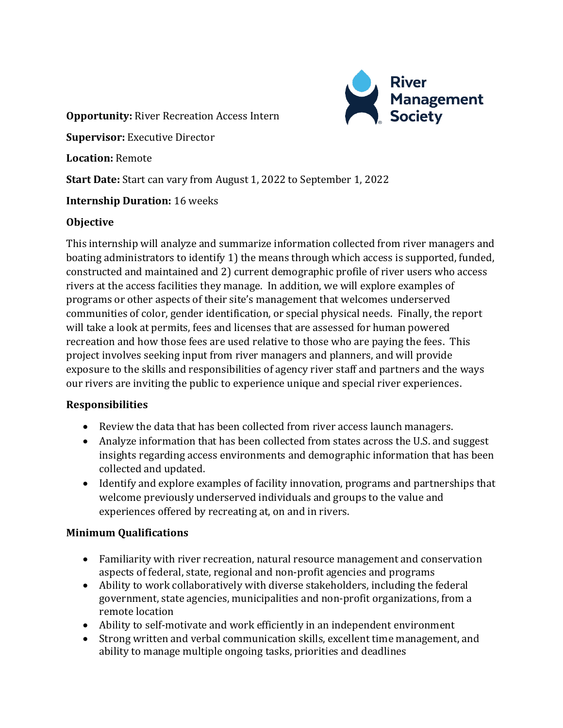

**Opportunity:** River Recreation Access Intern

**Supervisor:** Executive Director

**Location:** Remote

**Start Date:** Start can vary from August 1, 2022 to September 1, 2022

### **Internship Duration:** 16 weeks

#### **Objective**

This internship will analyze and summarize information collected from river managers and boating administrators to identify 1) the means through which access is supported, funded, constructed and maintained and 2) current demographic profile of river users who access rivers at the access facilities they manage. In addition, we will explore examples of programs or other aspects of their site's management that welcomes underserved communities of color, gender identification, or special physical needs. Finally, the report will take a look at permits, fees and licenses that are assessed for human powered recreation and how those fees are used relative to those who are paying the fees. This project involves seeking input from river managers and planners, and will provide exposure to the skills and responsibilities of agency river staff and partners and the ways our rivers are inviting the public to experience unique and special river experiences.

#### **Responsibilities**

- Review the data that has been collected from river access launch managers.
- Analyze information that has been collected from states across the U.S. and suggest insights regarding access environments and demographic information that has been collected and updated.
- Identify and explore examples of facility innovation, programs and partnerships that welcome previously underserved individuals and groups to the value and experiences offered by recreating at, on and in rivers.

## **Minimum Qualifications**

- Familiarity with river recreation, natural resource management and conservation aspects of federal, state, regional and non-profit agencies and programs
- Ability to work collaboratively with diverse stakeholders, including the federal government, state agencies, municipalities and non-profit organizations, from a remote location
- Ability to self-motivate and work efficiently in an independent environment
- Strong written and verbal communication skills, excellent time management, and ability to manage multiple ongoing tasks, priorities and deadlines